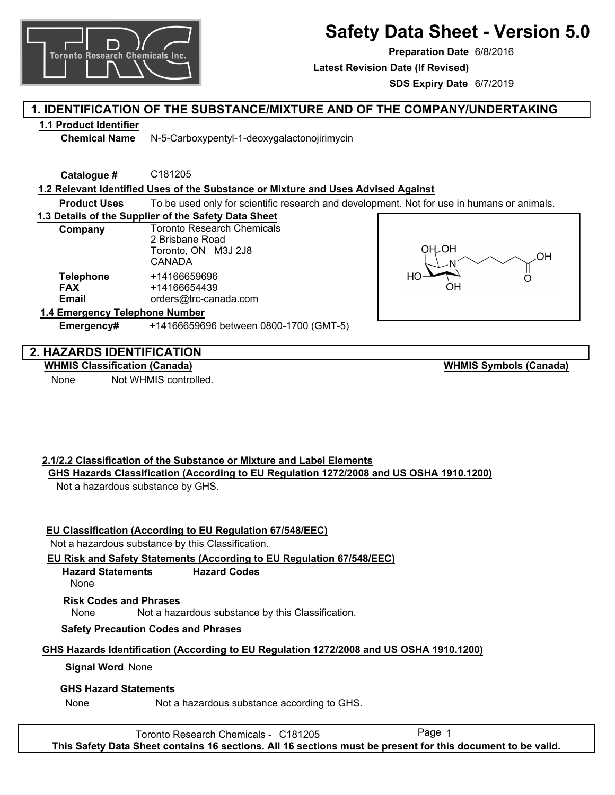

**SDS Expiry Date** 6/7/2019

**Safety Data Sheet - Version 5.0**

# **1. IDENTIFICATION OF THE SUBSTANCE/MIXTURE AND OF THE COMPANY/UNDERTAKING**

## **1.1 Product Identifier**

**Chemical Name** N-5-Carboxypentyl-1-deoxygalactonojirimycin

**Catalogue #** C181205

## **1.2 Relevant Identified Uses of the Substance or Mixture and Uses Advised Against**

**Product Uses** To be used only for scientific research and development. Not for use in humans or animals.

## **1.3 Details of the Supplier of the Safety Data Sheet**

| Company                                        | <b>Toronto Research Chemicals</b><br>2 Brisbane Road<br>Toronto, ON M3J 2J8<br>CANADA |
|------------------------------------------------|---------------------------------------------------------------------------------------|
| <b>Telephone</b><br><b>FAX</b><br><b>Email</b> | +14166659696<br>+14166654439<br>orders@trc-canada.com                                 |
| 1.4 Emergency Telephone Number                 |                                                                                       |



## **2. HAZARDS IDENTIFICATION**

## **WHMIS Classification (Canada)**

None Not WHMIS controlled.

**WHMIS Symbols (Canada)**

## **2.1/2.2 Classification of the Substance or Mixture and Label Elements**

**Emergency#** +14166659696 between 0800-1700 (GMT-5)

**GHS Hazards Classification (According to EU Regulation 1272/2008 and US OSHA 1910.1200)** Not a hazardous substance by GHS.

## **EU Classification (According to EU Regulation 67/548/EEC)**

Not a hazardous substance by this Classification.

## **EU Risk and Safety Statements (According to EU Regulation 67/548/EEC)**

**Hazard Statements Hazard Codes**

```
None
```
## **Risk Codes and Phrases**

None Not a hazardous substance by this Classification.

## **Safety Precaution Codes and Phrases**

## **GHS Hazards Identification (According to EU Regulation 1272/2008 and US OSHA 1910.1200)**

## **Signal Word** None

## **GHS Hazard Statements**

None Not a hazardous substance according to GHS.

Toronto Research Chemicals - C181205 **This Safety Data Sheet contains 16 sections. All 16 sections must be present for this document to be valid.**

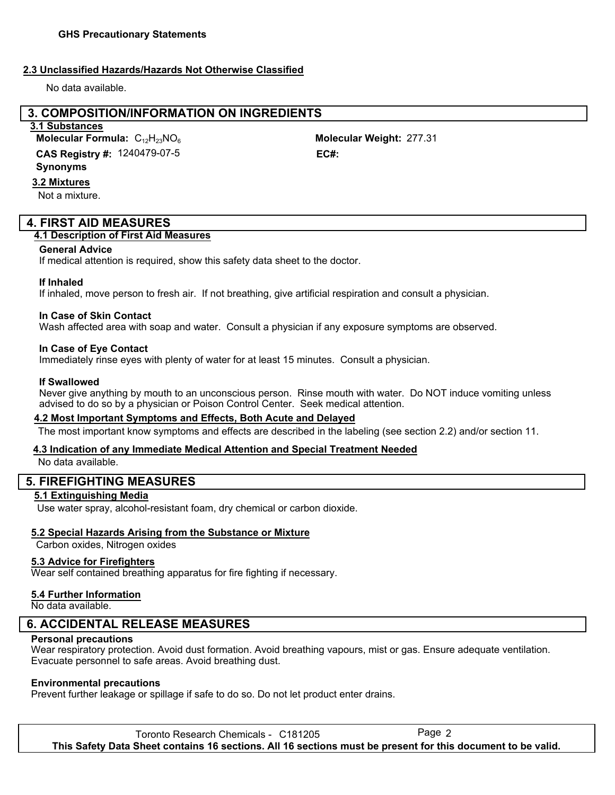### **2.3 Unclassified Hazards/Hazards Not Otherwise Classified**

No data available.

## **3. COMPOSITION/INFORMATION ON INGREDIENTS**

### **3.1 Substances**

1240479-07-5 **CAS Registry #: EC#: Molecular Formula:** C<sub>12</sub>H<sub>23</sub>NO<sub>6</sub>

#### **Synonyms**

**3.2 Mixtures**

Not a mixture.

## **4. FIRST AID MEASURES**

### **4.1 Description of First Aid Measures**

#### **General Advice**

If medical attention is required, show this safety data sheet to the doctor.

### **If Inhaled**

If inhaled, move person to fresh air. If not breathing, give artificial respiration and consult a physician.

### **In Case of Skin Contact**

Wash affected area with soap and water. Consult a physician if any exposure symptoms are observed.

### **In Case of Eye Contact**

Immediately rinse eyes with plenty of water for at least 15 minutes. Consult a physician.

#### **If Swallowed**

Never give anything by mouth to an unconscious person. Rinse mouth with water. Do NOT induce vomiting unless advised to do so by a physician or Poison Control Center. Seek medical attention.

### **4.2 Most Important Symptoms and Effects, Both Acute and Delayed**

The most important know symptoms and effects are described in the labeling (see section 2.2) and/or section 11.

### **4.3 Indication of any Immediate Medical Attention and Special Treatment Needed**

No data available.

## **5. FIREFIGHTING MEASURES**

### **5.1 Extinguishing Media**

Use water spray, alcohol-resistant foam, dry chemical or carbon dioxide.

### **5.2 Special Hazards Arising from the Substance or Mixture**

Carbon oxides, Nitrogen oxides

## **5.3 Advice for Firefighters**

Wear self contained breathing apparatus for fire fighting if necessary.

### **5.4 Further Information**

No data available.

## **6. ACCIDENTAL RELEASE MEASURES**

#### **Personal precautions**

Wear respiratory protection. Avoid dust formation. Avoid breathing vapours, mist or gas. Ensure adequate ventilation. Evacuate personnel to safe areas. Avoid breathing dust.

### **Environmental precautions**

Prevent further leakage or spillage if safe to do so. Do not let product enter drains.

Toronto Research Chemicals - C181205 **This Safety Data Sheet contains 16 sections. All 16 sections must be present for this document to be valid.**

Molecular Weight: 277.31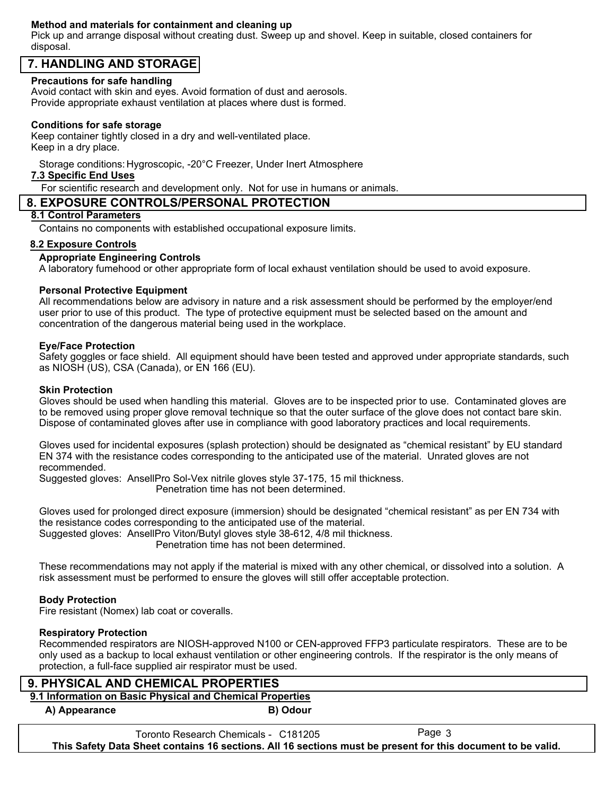### **Method and materials for containment and cleaning up**

Pick up and arrange disposal without creating dust. Sweep up and shovel. Keep in suitable, closed containers for disposal.

## **7. HANDLING AND STORAGE**

### **Precautions for safe handling**

Avoid contact with skin and eyes. Avoid formation of dust and aerosols. Provide appropriate exhaust ventilation at places where dust is formed.

### **Conditions for safe storage**

Keep container tightly closed in a dry and well-ventilated place. Keep in a dry place.

Storage conditions: Hygroscopic, -20°C Freezer, Under Inert Atmosphere

### **7.3 Specific End Uses**

For scientific research and development only. Not for use in humans or animals.

### **8. EXPOSURE CONTROLS/PERSONAL PROTECTION**

## **8.1 Control Parameters**

Contains no components with established occupational exposure limits.

### **8.2 Exposure Controls**

### **Appropriate Engineering Controls**

A laboratory fumehood or other appropriate form of local exhaust ventilation should be used to avoid exposure.

### **Personal Protective Equipment**

All recommendations below are advisory in nature and a risk assessment should be performed by the employer/end user prior to use of this product. The type of protective equipment must be selected based on the amount and concentration of the dangerous material being used in the workplace.

#### **Eye/Face Protection**

Safety goggles or face shield. All equipment should have been tested and approved under appropriate standards, such as NIOSH (US), CSA (Canada), or EN 166 (EU).

#### **Skin Protection**

Gloves should be used when handling this material. Gloves are to be inspected prior to use. Contaminated gloves are to be removed using proper glove removal technique so that the outer surface of the glove does not contact bare skin. Dispose of contaminated gloves after use in compliance with good laboratory practices and local requirements.

Gloves used for incidental exposures (splash protection) should be designated as "chemical resistant" by EU standard EN 374 with the resistance codes corresponding to the anticipated use of the material. Unrated gloves are not recommended.

Suggested gloves: AnsellPro Sol-Vex nitrile gloves style 37-175, 15 mil thickness. Penetration time has not been determined.

Gloves used for prolonged direct exposure (immersion) should be designated "chemical resistant" as per EN 734 with the resistance codes corresponding to the anticipated use of the material. Suggested gloves: AnsellPro Viton/Butyl gloves style 38-612, 4/8 mil thickness. Penetration time has not been determined.

These recommendations may not apply if the material is mixed with any other chemical, or dissolved into a solution. A risk assessment must be performed to ensure the gloves will still offer acceptable protection.

### **Body Protection**

Fire resistant (Nomex) lab coat or coveralls.

### **Respiratory Protection**

Recommended respirators are NIOSH-approved N100 or CEN-approved FFP3 particulate respirators. These are to be only used as a backup to local exhaust ventilation or other engineering controls. If the respirator is the only means of protection, a full-face supplied air respirator must be used.

## **9. PHYSICAL AND CHEMICAL PROPERTIES**

**9.1 Information on Basic Physical and Chemical Properties**

**A) Appearance B) Odour**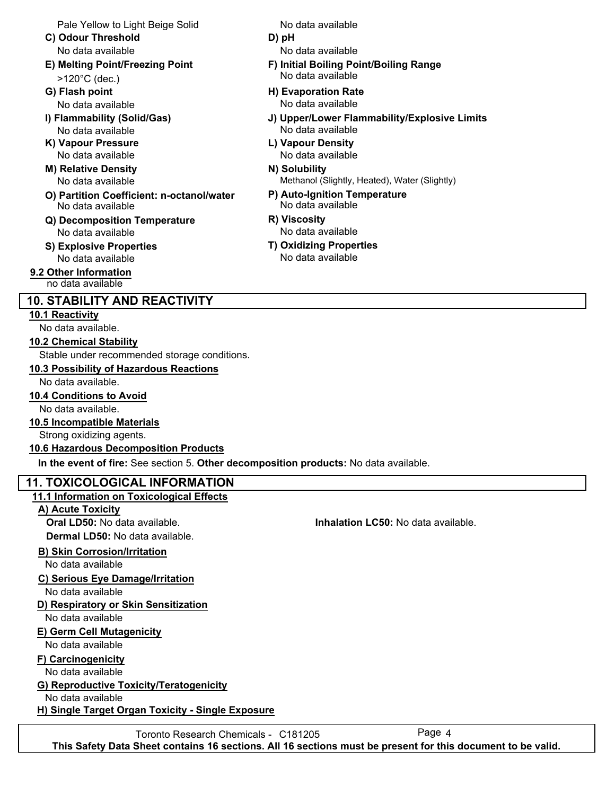Pale Yellow to Light Beige Solid

- **C) Odour Threshold D) pH** No data available No data available
- >120°C (dec.)
- 
- 
- **K) Vapour Pressure L) Vapour Density**
- **M) Relative Density N) Solubility** No data available
- **O) Partition Coefficient: n-octanol/water P) Auto-Ignition Temperature** No data available No data available
- **Q) Decomposition Temperature R) Viscosity** No data available
- **S) Explosive Properties T) Oxidizing Properties** No data available No data available
- **9.2 Other Information** no data available

# **10. STABILITY AND REACTIVITY**

## **10.1 Reactivity**

No data available.

## **10.2 Chemical Stability**

Stable under recommended storage conditions.

## **10.3 Possibility of Hazardous Reactions**

No data available.

**10.4 Conditions to Avoid** No data available.

## **10.5 Incompatible Materials**

Strong oxidizing agents.

## **10.6 Hazardous Decomposition Products**

**In the event of fire:** See section 5. **Other decomposition products:** No data available.

## **11. TOXICOLOGICAL INFORMATION**

## **11.1 Information on Toxicological Effects**

**A) Acute Toxicity**

**Dermal LD50:** No data available.

## **B) Skin Corrosion/Irritation**

No data available

## **C) Serious Eye Damage/Irritation**

No data available

## **D) Respiratory or Skin Sensitization**

No data available

## **E) Germ Cell Mutagenicity**

No data available

**F) Carcinogenicity**

No data available

## **G) Reproductive Toxicity/Teratogenicity**

No data available

**H) Single Target Organ Toxicity - Single Exposure**

No data available

- -
- **E) Melting Point/Freezing Point F) Initial Boiling Point/Boiling Range** No data available
- **G) Flash point H) Evaporation Rate** No data available No data available
- **I) Flammability (Solid/Gas) J) Upper/Lower Flammability/Explosive Limits** No data available No data available
	- No data available No data available
		- Methanol (Slightly, Heated), Water (Slightly)
		-
		-
		-

Toronto Research Chemicals - C181205 **This Safety Data Sheet contains 16 sections. All 16 sections must be present for this document to be valid.**

**Oral LD50:** No data available. **Inhalation LC50:** No data available.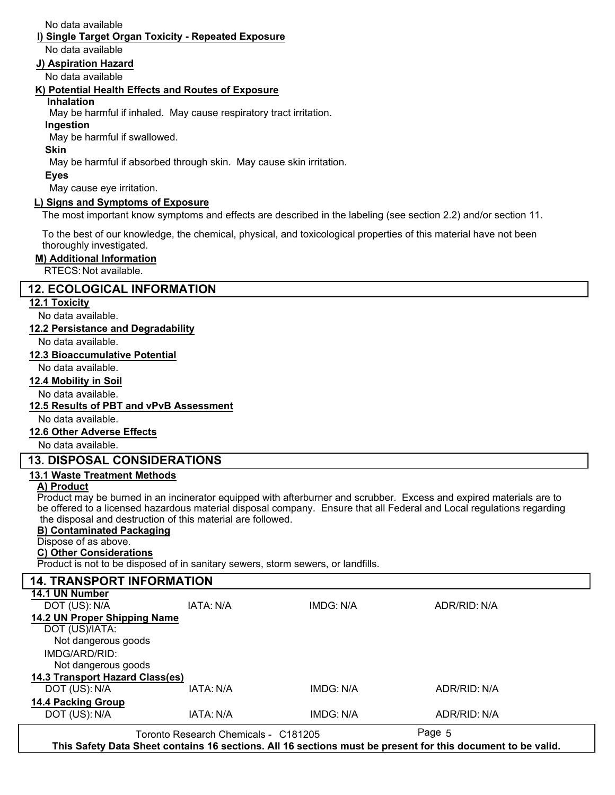No data available

## **I) Single Target Organ Toxicity - Repeated Exposure**

No data available

### **J) Aspiration Hazard**

No data available

### **K) Potential Health Effects and Routes of Exposure**

### **Inhalation**

May be harmful if inhaled. May cause respiratory tract irritation.

**Ingestion**

May be harmful if swallowed.

**Skin**

May be harmful if absorbed through skin. May cause skin irritation.

#### **Eyes**

May cause eye irritation.

## **L) Signs and Symptoms of Exposure**

The most important know symptoms and effects are described in the labeling (see section 2.2) and/or section 11.

To the best of our knowledge, the chemical, physical, and toxicological properties of this material have not been thoroughly investigated.

### **M) Additional Information**

RTECS: Not available.

## **12. ECOLOGICAL INFORMATION**

### **12.1 Toxicity**

No data available.

### **12.2 Persistance and Degradability**

No data available.

### **12.3 Bioaccumulative Potential**

No data available.

### **12.4 Mobility in Soil**

No data available.

### **12.5 Results of PBT and vPvB Assessment**

No data available.

### **12.6 Other Adverse Effects**

No data available.

## **13. DISPOSAL CONSIDERATIONS**

## **13.1 Waste Treatment Methods**

### **A) Product**

Product may be burned in an incinerator equipped with afterburner and scrubber. Excess and expired materials are to be offered to a licensed hazardous material disposal company. Ensure that all Federal and Local regulations regarding the disposal and destruction of this material are followed.

## **B) Contaminated Packaging**

## Dispose of as above.

**C) Other Considerations**

Product is not to be disposed of in sanitary sewers, storm sewers, or landfills.

| <b>14. TRANSPORT INFORMATION</b> |                                      |           |              |  |  |
|----------------------------------|--------------------------------------|-----------|--------------|--|--|
| 14.1 UN Number                   |                                      |           |              |  |  |
| DOT (US): N/A                    | IATA: N/A                            | IMDG: N/A | ADR/RID: N/A |  |  |
| 14.2 UN Proper Shipping Name     |                                      |           |              |  |  |
| DOT (US)/IATA:                   |                                      |           |              |  |  |
| Not dangerous goods              |                                      |           |              |  |  |
| IMDG/ARD/RID:                    |                                      |           |              |  |  |
| Not dangerous goods              |                                      |           |              |  |  |
| 14.3 Transport Hazard Class(es)  |                                      |           |              |  |  |
| DOT (US): N/A                    | IATA: N/A                            | IMDG: N/A | ADR/RID: N/A |  |  |
| 14.4 Packing Group               |                                      |           |              |  |  |
| DOT (US): N/A                    | IATA: N/A                            | IMDG: N/A | ADR/RID: N/A |  |  |
|                                  | Toronto Research Chemicals - C181205 |           | Page 5       |  |  |

**This Safety Data Sheet contains 16 sections. All 16 sections must be present for this document to be valid.**